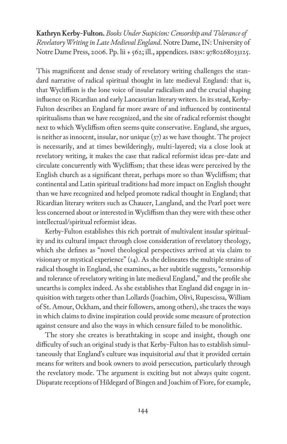**Kathryn Kerby-Fulton.***Books Under Suspicion: Censorship and Tolerance of Revelatory Writing in Late Medieval England*. Notre Dame, IN: University of Notre Dame Press, 2006. Pp. lii + 562; ill., appendices. isbn: 9780268033125.

This magnificent and dense study of revelatory writing challenges the standard narrative of radical spiritual thought in late medieval England: that is, that Wycliffism is the lone voice of insular radicalism and the crucial shaping influence on Ricardian and early Lancastrian literary writers. In its stead, Kerby-Fulton describes an England far more aware of and influenced by continental spiritualisms than we have recognized, and the site of radical reformist thought next to which Wycliffism often seems quite conservative. England, she argues, is neither as innocent, insular, nor unique (37) as we have thought. The project is necessarily, and at times bewilderingly, multi-layered; via a close look at revelatory writing, it makes the case that radical reformist ideas pre-date and circulate concurrently with Wycliffism; that these ideas were perceived by the English church as a significant threat, perhaps more so than Wycliffism; that continental and Latin spiritual traditions had more impact on English thought than we have recognized and helped promote radical thought in England; that Ricardian literary writers such as Chaucer, Langland, and the Pearl poet were less concerned about or interested in Wycliffism than they were with these other intellectual/spiritual reformist ideas.

Kerby-Fulton establishes this rich portrait of multivalent insular spirituality and its cultural impact through close consideration of revelatory theology, which she defines as "novel theological perspectives arrived at via claim to visionary or mystical experience" (14). As she delineates the multiple strains of radical thought in England, she examines, as her subtitle suggests, "censorship and tolerance of revelatory writing in late medieval England," and the profile she unearths is complex indeed. As she establishes that England did engage in inquisition with targets other than Lollards (Joachim, Olivi, Rupescissa, William of St. Amour, Ockham, and their followers, among others), she traces the ways in which claims to divine inspiration could provide some measure of protection against censure and also the ways in which censure failed to be monolithic.

The story she creates is breathtaking in scope and insight, though one difficulty of such an original study is that Kerby-Fulton has to establish simultaneously that England's culture was inquisitorial *and* that it provided certain means for writers and book owners to avoid persecution*,* particularly through the revelatory mode. The argument is exciting but not always quite cogent. Disparate receptions of Hildegard of Bingen and Joachim of Fiore, for example,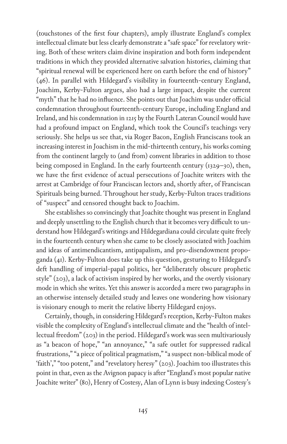(touchstones of the first four chapters), amply illustrate England's complex intellectual climate but less clearly demonstrate a "safe space" for revelatory writing. Both of these writers claim divine inspiration and both form independent traditions in which they provided alternative salvation histories, claiming that "spiritual renewal will be experienced here on earth before the end of history" (46). In parallel with Hildegard's visibility in fourteenth-century England, Joachim, Kerby-Fulton argues, also had a large impact, despite the current "myth" that he had no influence. She points out that Joachim was under official condemnation throughout fourteenth-century Europe, including England and Ireland, and his condemnation in 1215 by the Fourth Lateran Council would have had a profound impact on England, which took the Council's teachings very seriously. She helps us see that, via Roger Bacon, English Franciscans took an increasing interest in Joachism in the mid-thirteenth century, his works coming from the continent largely to (and from) convent libraries in addition to those being composed in England. In the early fourteenth century (1329-30), then, we have the first evidence of actual persecutions of Joachite writers with the arrest at Cambridge of four Franciscan lectors and, shortly after, of Franciscan Spirituals being burned. Throughout her study, Kerby-Fulton traces traditions of "suspect" and censored thought back to Joachim.

She establishes so convincingly that Joachite thought was present in England and deeply unsettling to the English church that it becomes very difficult to understand how Hildegard's writings and Hildegardiana could circulate quite freely in the fourteenth century when she came to be closely associated with Joachim and ideas of antimendicantism, antipapalism, and pro-disendowment propoganda (41). Kerby-Fulton does take up this question, gesturing to Hildegard's deft handling of imperial-papal politics, her "deliberately obscure prophetic style" (203), a lack of activism inspired by her works, and the overtly visionary mode in which she writes. Yet this answer is accorded a mere two paragraphs in an otherwise intensely detailed study and leaves one wondering how visionary is visionary enough to merit the relative liberty Hildegard enjoys.

Certainly, though, in considering Hildegard's reception, Kerby-Fulton makes visible the complexity of England's intellectual climate and the "health of intellectual freedom" (203) in the period. Hildegard's work was seen multivariously as "a beacon of hope," "an annoyance," "a safe outlet for suppressed radical frustrations," "a piece of political pragmatism," "a suspect non-biblical mode of 'faith'," "too potent," and "revelatory heresy" (203). Joachim too illustrates this point in that, even as the Avignon papacy is after "England's most popular native Joachite writer" (80), Henry of Costesy, Alan of Lynn is busy indexing Costesy's